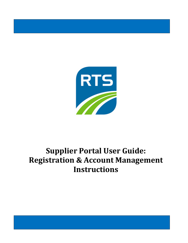

# **Supplier Portal User Guide: Registration & Account Management Instructions**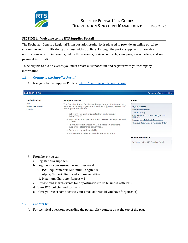

#### **SECTION 1 - Welcome to the RTS Supplier Portal!**

The Rochester Genesee Regional Transportation Authority is pleased to provide an online portal to streamline and simplify doing business with suppliers. Through the portal, suppliers can receive notifications of sourcing events, bid on those events, review contracts, view progress of orders, and see payment information.

To be eligible to bid on events, you must create a user account and register with your company information.

# **1.1** *Getting to the Supplier Portal*

A. Navigate to the Supplier Portal at https://supplierportal.myrts.com

| <b>Supplier Portal</b>                                   |                                                                                                                                                                                                                                                                                                                                                                                                                     | Welcome Contact Us Help                                                                                                                                                                                           |
|----------------------------------------------------------|---------------------------------------------------------------------------------------------------------------------------------------------------------------------------------------------------------------------------------------------------------------------------------------------------------------------------------------------------------------------------------------------------------------------|-------------------------------------------------------------------------------------------------------------------------------------------------------------------------------------------------------------------|
| Login/Register<br>Login<br>Forgot User Name?<br>Register | <b>Supplier Portal</b><br>The Supplier Portal facilitates the exchange of information<br>between a buying organization and its suppliers. Benefits of<br>the application include:<br>• Self-service supplier registration and account<br>maintenance<br>• Support for multiple commodity codes per supplier and<br>contact<br>. Improved communication via messages, including<br>support of electronic attachments | Links<br>myRTS Website<br><b>Procurement Forms</b><br><b>Staff Directory</b><br>Civil Rights and Diversity Programs &<br>Utilization<br>Procurement Policies & Procedures<br>Contract Documents & Purchase Orders |
|                                                          | • Document upload capability                                                                                                                                                                                                                                                                                                                                                                                        |                                                                                                                                                                                                                   |
|                                                          | . Enables data to be accessible in one location                                                                                                                                                                                                                                                                                                                                                                     | <b>Announcements</b><br>Welcome to the RTS Supplier Portall                                                                                                                                                       |

- B. From here, you can:
	- a. Register as a supplier.
	- b. Login with your username and password.
		- i. PW Requirements: Minimum Length = 8
		- ii. Alpha/Numeric Required & Case Sensitive
		- iii. Maximum Character Repeat = 2
	- c. Browse and search events for opportunities to do business with RTS.
	- d. View RTS policies and contacts.
	- e. Have your username sent to your email address (if you have forgotten it).

#### **1.2** *Contact Us*

For technical questions regarding the portal, click contact us at the top of the page.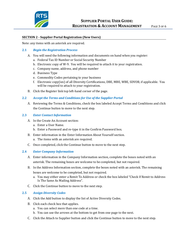

#### **SECTION 2 - Supplier Portal Registration (New Users)**

Note: any items with an asterisk are required.

#### **2.1** *Begin the Registration Process*

- You will need the following information and documents on hand when you register:
	- a. Federal Tax ID Number or Social Security Number
	- b. Electronic copy of W-9. You will be required to attach it to your registration.
	- c. Company name, address, and phone number
	- d. Business Type
	- e. Commodity Codes pertaining to your business
	- f. Electronic copy(ies) of all Diversity Certifications, DBE, MBE, WBE, SDVOB, if applicable. You will be required to attach to your registration.
- B. Click the Register link top left-hand corner of the page.

# **2.2** *Accept the Terms and Conditions for Use of the Supplier Portal*

Reviewing the Terms & Conditions, check the box labeled Accept Terms and Conditions and click the Continue button to move to the next step.

#### **2.3** *Enter Contact Information*

- A. In the Create An Account section:
	- a. Enter a User Name.
	- b. Enter a Password and re-type it in the Confirm Password box.
- Enter information in the Enter Information About Yourself section.
	- a. The items with an asterisk are required.
- C. Once completed, click the Continue button to move to the next step.

#### **2.4** *Enter Company Information*

- Enter information in the Company Information section, complete the boxes noted with an asterisk. The remaining boxes are welcome to be completed, but not required.
- In the Address Information section, complete the boxes noted with an asterisk. The remaining boxes are welcome to be completed, but not required.
	- a. You may either enter a Remit To Address or check the box labeled "Check If Remit to Address Is The Same As Mailing Address".
- C. Click the Continue button to move to the next step.

#### **2.5** *Assign Diversity Codes*

- A. Click the Add button to display the list of Active Diversity Codes.
- B. Click each check box that applies.
	- a. You can select more than one code at a time.
	- b. You can use the arrows at the bottom to get from one page to the next.
- Click the Attach to Supplier button and click the Continue button to move to the next step.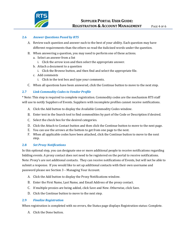

# **2.6** *Answer Questions Posed by RTS*

- Review each question and answer each to the best of your ability. Each question may have different requirements than the others so read the italicized words under the question.
- When answering a question, you may need to perform one of these actions.
	- a. Select an answer from a list
		- i. Click the arrow icon and then select the appropriate answer.
	- b. Attach a document to a question
		- i. Click the Browse button, and then find and select the appropriate file.
	- c. Add comments
		- i. Click in the text box and type your comments.
- When all questions have been answered, click the Continue button to move to the next step.

# **2.7** *Link Commodity Codes to Vendor Profile*

\* Note: This step is required to complete registration. Commodity codes are the mechanism RTS staff will use to notify Suppliers of Events. Suppliers with incomplete profiles cannot receive notifications.

- Click the Add button to display the Available Commodity Codes window.
- Enter text in the Search tool to find commodities by part of the Code or Description if desired.
- C. Select the check box for the desired categories.
- D. Click the Attach to Contact button and then click the Continue button to move to the next page.
- You can use the arrows at the bottom to get from one page to the next.
- When all applicable codes have been attached, click the Continue button to move to the next step.

#### **2.8** *Set Proxy Notifications*

In this optional step, you can designate one or more additional people to receive notifications regarding bidding events. A proxy contact does not need to be registered on the portal to receive notifications. Note: Proxy's are not additional contacts. They can receive notifications of Events, but will not be able to submit a response. If you would like to set up additional contacts with their own username and password please see Section 3 – Managing Your Account.

- A. Click the Add button to display the Proxy Notifications window.
- Enter the First Name, Last Name, and Email Address of the proxy contact.
- If multiple proxies are being added, click Save and New. Otherwise, click Save.
- D. Click the Continue button to move to the next step.

# **2.9** *Finalize Registration*

When registration is completed with no errors, the Status page displays Registration status: Complete.

A. Click the Done button.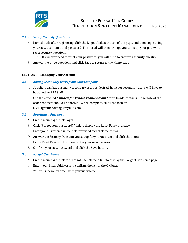

# **2.10** *Set Up Security Questions*

- Immediately after registering, click the Logout link at the top of the page, and then Login using your new user name and password. The portal will then prompt you to set up your password reset security questions.
	- i. If you ever need to reset your password, you will need to answer a security question.
- Answer the three questions and click Save to return to the Home page.

# **SECTION 3 - Managing Your Account**

# **3.1** *Adding Secondary Users from Your Company*

- A. Suppliers can have as many secondary users as desired, however secondary users will have to be added by RTS Staff.
- Use the attached *Contacts for Vendor Profile Account* form to add contacts. Take note of the order contacts should be entered. When complete, email the form to CivilRightsReporting@myRTS.com.

#### **3.2** *Resetting a Password*

- A. On the main page, click Login
- Click "Forgot your password?" link to display the Reset Password page.
- Enter your username in the field provided and click the arrow.
- D. Answer the Security Question you set up for your account and click the arrow.
- E. In the Reset Password window, enter your new password
- F. Confirm your new password and click the Save button.

# **3.3** *Forgot User Name*

- On the main page, click the "Forgot User Name?" link to display the Forgot User Name page.
- Enter your Email Address and confirm, then click the OK button.
- You will receive an email with your username.